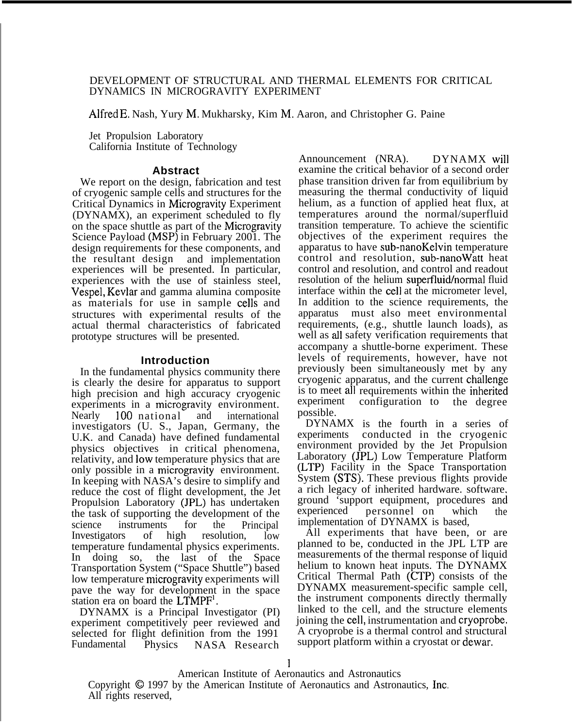## DEVELOPMENT OF STRUCTURAL AND THERMAL ELEMENTS FOR CRITICAL DYNAMICS IN MICROGRAVITY EXPERIMENT

Alfred E, Nash, Yury M, Mukharsky, Kim M, Aaron, and Christopher G. Paine

Jet Propulsion Laboratory California Institute of Technology

# **Abstract**

We report on the design, fabrication and test of cryogenic sample cells and structures for the Critical Dynamics in Microgravity Experiment (DYNAMX), an experiment scheduled to fly on the space shuttle as part of the Microgravity Science Payload (MSP) in February 2001. The design requirements for these components, and the resultant design and implementation experiences will be presented. In particular, experiences with the use of stainless steel, Vespel, Kevlar and gamma alumina composite as materials for use in sample cells and structures with experimental results of the actual thermal characteristics of fabricated prototype structures will be presented.

# **Introduction**

In the fundamental physics community there is clearly the desire for apparatus to support high precision and high accuracy cryogenic experiments in a microgravity environment. Nearly 100 national and international investigators (U. S., Japan, Germany, the U.K. and Canada) have defined fundamental physics objectives in critical phenomena, relativity, and low temperature physics that are only possible in a microgravity environment. In keeping with NASA's desire to simplify and reduce the cost of flight development, the Jet Propulsion Laboratory (JPL) has undertaken the task of supporting the development of the science instruments for the Principal Investigators of high resolution, low temperature fundamental physics experiments. In doing so, the last of the Space Transportation System ("Space Shuttle") based low temperature microgravity experiments will pave the way for development in the space station era on board the LTMPF<sup>1</sup>.

DYNAMX is a Principal Investigator (PI) experiment competitively peer reviewed and selected for flight definition from the 1991<br>Fundamental Physics NASA Research Physics NASA Research

Announcement (NRA). DYNAMX will examine the critical behavior of a second order phase transition driven far from equilibrium by measuring the thermal conductivity of liquid helium, as a function of applied heat flux, at temperatures around the normal/superfluid transition temperature. To achieve the scientific objectives of the experiment requires the apparatus to have sub-nanoKelvin temperature control and resolution, sub-nanoWatt heat control and resolution, and control and readout resolution of the helium superfluid/normal fluid interface within the cell at the micrometer level, In addition to the science requirements, the apparatus must also meet environmental requirements, (e.g., shuttle launch loads), as well as all safety verification requirements that accompany a shuttle-borne experiment. These levels of requirements, however, have not previously been simultaneously met by any cryogenic apparatus, and the current challenge is to meet all requirements within the inherited experiment configuration to the degree possible.

DYNAMX is the fourth in a series of experiments conducted in the cryogenic environment provided by the Jet Propulsion Laboratory (JPL) Low Temperature Platform (LTP) Facility in the Space Transportation System (STS). These previous flights provide a rich legacy of inherited hardware. software. ground 'support equipment, procedures anti experienced personnel on which the implementation of DYNAMX is based,

All experiments that have been, or are planned to be, conducted in the JPL LTP are measurements of the thermal response of liquid helium to known heat inputs. The DYNAMX Critical Thermal Path (CTP) consists of the DYNAMX measurement-specific sample cell, the instrument components directly thermally linked to the cell, and the structure elements joining the cell, instrumentation and cryoprobe, A cryoprobe is a thermal control and structural support platform within a cryostat or dewar,

American Institute of Aeronautics and Astronautics Copyright @ 1997 by the American Institute of Aeronautics and Astronautics, Inc, All rights reserved,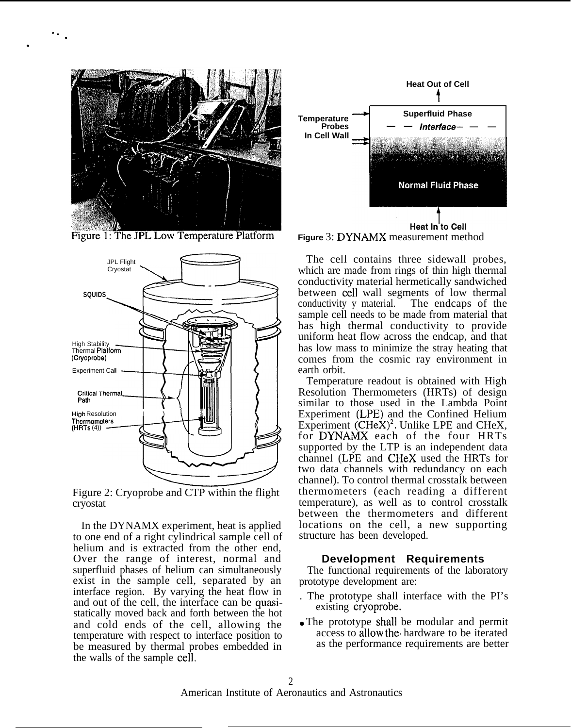

. . .

.

Figure 1: The JPL Low Temperature Platform



Figure 2: Cryoprobe and CTP within the flight cryostat

In the DYNAMX experiment, heat is applied to one end of a right cylindrical sample cell of helium and is extracted from the other end, Over the range of interest, normal and superfluid phases of helium can simultaneously exist in the sample cell, separated by an interface region. By varying the heat flow in and out of the cell, the interface can be quasistatically moved back and forth between the hot and cold ends of the cell, allowing the temperature with respect to interface position to be measured by thermal probes embedded in the walls of the sample cell,





The cell contains three sidewall probes, which are made from rings of thin high thermal conductivity material hermetically sandwiched between cell wall segments of low thermal conductivity y material. The endcaps of the sample cell needs to be made from material that has high thermal conductivity to provide uniform heat flow across the endcap, and that has low mass to minimize the stray heating that comes from the cosmic ray environment in earth orbit.

Temperature readout is obtained with High Resolution Thermometers (HRTs) of design similar to those used in the Lambda Point Experiment (LPE) and the Confined Helium Experiment  $(CHeX)^2$ . Unlike LPE and CHeX, for DYNAMX each of the four HRTs supported by the LTP is an independent data channel (LPE and CHeX used the HRTs for two data channels with redundancy on each channel). To control thermal crosstalk between thermometers (each reading a different temperature), as well as to control crosstalk between the thermometers and different locations on the cell, a new supporting structure has been developed.

#### **Development Requirements**

The functional requirements of the laboratory prototype development are:

- . The prototype shall interface with the PI's existing cryoprobe.
- The prototype shall be modular and permit access to allow the. hardware to be iterated as the performance requirements are better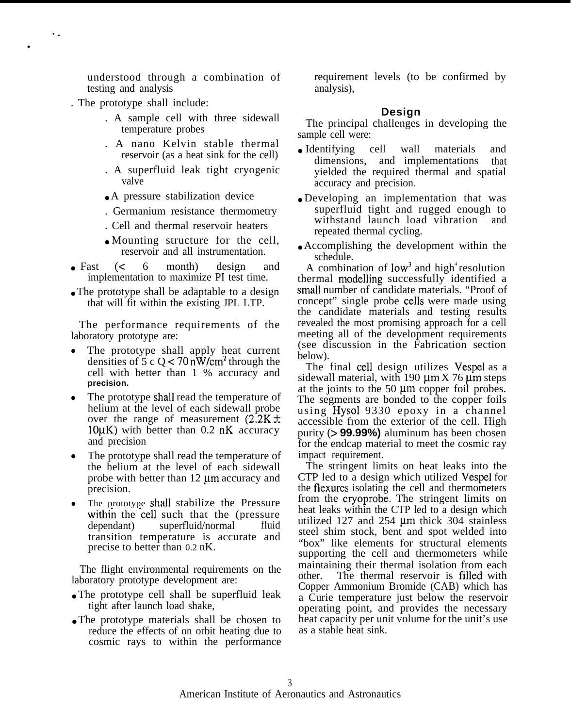understood through a combination of testing and analysis

. The prototype shall include:

. .

.

- . A sample cell with three sidewall temperature probes
- . A nano Kelvin stable thermal reservoir (as a heat sink for the cell)
- . A superfluid leak tight cryogenic valve
- A pressure stabilization device
- . Germanium resistance thermometry
- . Cell and thermal reservoir heaters
- Mounting structure for the cell, reservoir and all instrumentation.
- Fast  $( $6$  month) design and$ implementation to maximize PI test time.
- The prototype shall be adaptable to a design that will fit within the existing JPL LTP.

The performance requirements of the laboratory prototype are:

- The prototype shall apply heat current densities of 5 c Q  $<$  70 nW/cm<sup>2</sup> through the cell with better than 1 % accuracy and **precision.**
- The prototype shall read the temperature of helium at the level of each sidewall probe over the range of measurement  $(2.2K \pm$  $10\mu$ K) with better than 0.2 nK accuracy and precision
- The prototype shall read the temperature of the helium at the level of each sidewall probe with better than  $12 \mu m$  accuracy and precision.
- The prototype shall stabilize the Pressure within the cell such that the (pressure dependant) superfluid/normal fluid transition temperature is accurate and precise to better than 0.2 nK.

The flight environmental requirements on the laboratory prototype development are:

- The prototype cell shall be superfluid leak tight after launch load shake,
- The prototype materials shall be chosen to reduce the effects of on orbit heating due to cosmic rays to within the performance

requirement levels (to be confirmed by analysis),

### **Design**

The principal challenges in developing the sample cell were:

- Identifying cell wall materials and dimensions, and implementations that yielded the required thermal and spatial accuracy and precision.
- Developing an implementation that was superfluid tight and rugged enough to withstand launch load vibration and repeated thermal cycling.
- Accomplishing the development within the schedule.

A combination of low<sup>3</sup> and high<sup>4</sup> resolution thermal modelling successfully identified a small number of candidate materials. "Proof of concept" single probe cells were made using the candidate materials and testing results revealed the most promising approach for a cell meeting all of the development requirements (see discussion in the Fabrication section below).

The final cell design utilizes Vespel as a sidewall material, with 190  $\mu$ m X 76  $\mu$ m steps at the joints to the 50  $\mu$ m copper foil probes. The segments are bonded to the copper foils using Hysol 9330 epoxy in a channel accessible from the exterior of the cell. High purity (> **99.99%)** aluminum has been chosen for the endcap material to meet the cosmic ray impact requirement.

The stringent limits on heat leaks into the CTP led to a design which utilized Vespel for the flexures isolating the cell and thermometers from the cryoprobe, The stringent limits on heat leaks within the CTP led to a design which utilized  $127$  and  $254 \mu m$  thick  $304$  stainless steel shim stock, bent and spot welded into "box" like elements for structural elements supporting the cell and thermometers while maintaining their thermal isolation from each other. The thermal reservoir is filled with Copper Ammonium Bromide (CAB) which has a Curie temperature just below the reservoir operating point, and provides the necessary heat capacity per unit volume for the unit's use as a stable heat sink.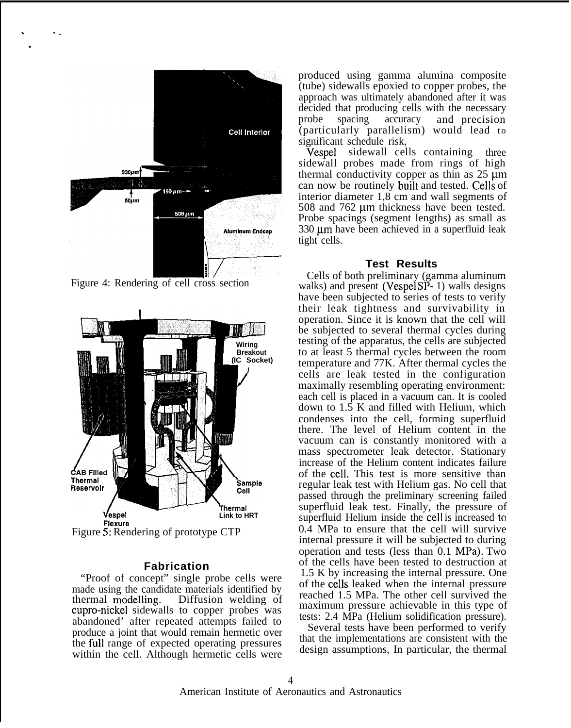

. . . ●

Figure 4: Rendering of cell cross section



#### **Fabrication**

"Proof of concept" single probe cells were made using the candidate materials identified by<br>thermal modelling. Diffusion welding of Diffusion welding of cupro-nickel sidewalls to copper probes was abandoned' after repeated attempts failed to produce a joint that would remain hermetic over the full range of expected operating pressures within the cell. Although hermetic cells were produced using gamma alumina composite (tube) sidewalls epoxied to copper probes, the approach was ultimately abandoned after it was decided that producing cells with the necessary probe spacing accuracy and precision (particularly parallelism) would lead to significant schedule risk,

Vespel sidewall cells containing three sidewall probes made from rings of high thermal conductivity copper as thin as  $25 \mu m$ can now be routinely built and tested. Cells of interior diameter 1,8 cm and wall segments of 508 and  $762 \mu m$  thickness have been tested. Probe spacings (segment lengths) as small as  $330 \mu m$  have been achieved in a superfluid leak tight cells.

### **Test Results**

Cells of both preliminary (gamma aluminum walks) and present (Vespel  $SP-1$ ) walls designs have been subjected to series of tests to verify their leak tightness and survivability in operation. Since it is known that the cell will be subjected to several thermal cycles during testing of the apparatus, the cells are subjected to at least 5 thermal cycles between the room temperature and 77K. After thermal cycles the cells are leak tested in the configuration maximally resembling operating environment: each cell is placed in a vacuum can. It is cooled down to 1.5 K and filled with Helium, which condenses into the cell, forming superfluid there. The level of Helium content in the vacuum can is constantly monitored with a mass spectrometer leak detector. Stationary increase of the Helium content indicates failure of the cell. This test is more sensitive than regular leak test with Helium gas. No cell that passed through the preliminary screening failed superfluid leak test. Finally, the pressure of superfluid Helium inside the cell is increased to 0.4 MPa to ensure that the cell will survive internal pressure it will be subjected to during operation and tests (less than 0.1 MPa). Two of the cells have been tested to destruction at 1.5 K by increasing the internal pressure. One of the cells leaked when the internal pressure reached 1.5 MPa. The other cell survived the maximum pressure achievable in this type of tests: 2.4 MPa (Helium solidification pressure).

Several tests have been performed to verify that the implementations are consistent with the design assumptions, In particular, the thermal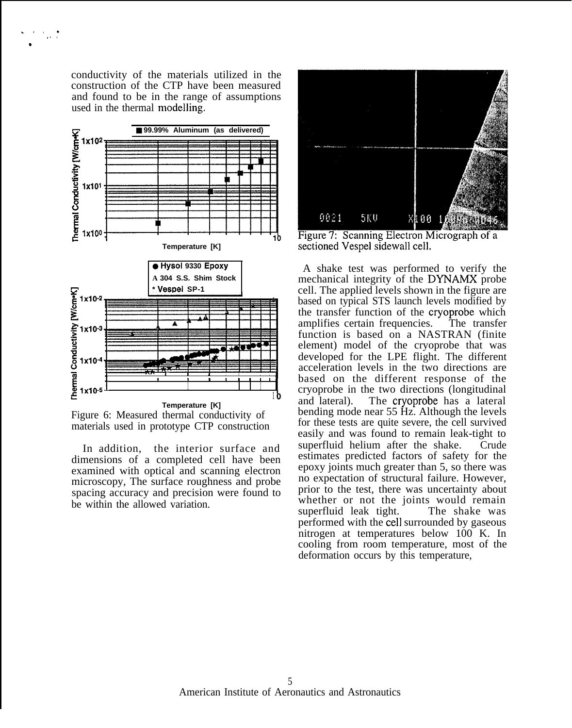conductivity of the materials utilized in the construction of the CTP have been measured and found to be in the range of assumptions used in the thermal modelling.

.,, .  $\mathbf{r}$ 

.





In addition, the interior surface and dimensions of a completed cell have been examined with optical and scanning electron microscopy, The surface roughness and probe spacing accuracy and precision were found to be within the allowed variation.



Figure 7: Scanning Electron Micrograph of a sectioned Vespel sidewall cell.

A shake test was performed to verify the mechanical integrity of the DYNAMX probe cell. The applied levels shown in the figure are based on typical STS launch levels modified by the transfer function of the cryoprobe which amplifies certain frequencies. The transfer function is based on a NASTRAN (finite element) model of the cryoprobe that was developed for the LPE flight. The different acceleration levels in the two directions are based on the different response of the cryoprobe in the two directions (longitudinal and lateral). The cryoprobe has a lateral bending mode near 55 Hz. Although the levels for these tests are quite severe, the cell survived easily and was found to remain leak-tight to superfluid helium after the shake. Crude estimates predicted factors of safety for the epoxy joints much greater than 5, so there was no expectation of structural failure. However, prior to the test, there was uncertainty about whether or not the joints would remain superfluid leak tight. The shake was performed with the cell surrounded by gaseous nitrogen at temperatures below 100 K. In cooling from room temperature, most of the deformation occurs by this temperature,